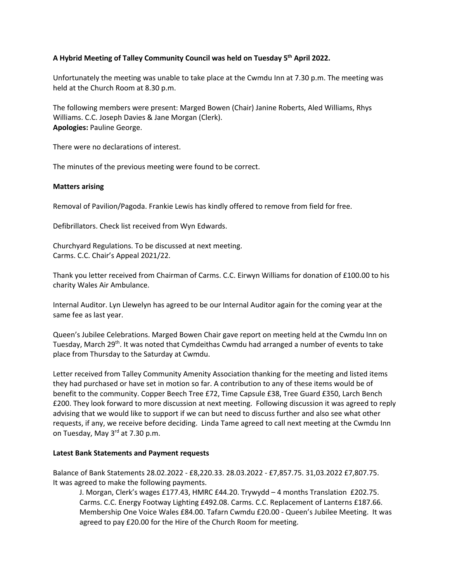# **A Hybrid Meeting of Talley Community Council was held on Tuesday 5th April 2022.**

Unfortunately the meeting was unable to take place at the Cwmdu Inn at 7.30 p.m. The meeting was held at the Church Room at 8.30 p.m.

The following members were present: Marged Bowen (Chair) Janine Roberts, Aled Williams, Rhys Williams. C.C. Joseph Davies & Jane Morgan (Clerk). **Apologies:** Pauline George.

There were no declarations of interest.

The minutes of the previous meeting were found to be correct.

## **Matters arising**

Removal of Pavilion/Pagoda. Frankie Lewis has kindly offered to remove from field for free.

Defibrillators. Check list received from Wyn Edwards.

Churchyard Regulations. To be discussed at next meeting. Carms. C.C. Chair's Appeal 2021/22.

Thank you letter received from Chairman of Carms. C.C. Eirwyn Williams for donation of £100.00 to his charity Wales Air Ambulance.

Internal Auditor. Lyn Llewelyn has agreed to be our Internal Auditor again for the coming year at the same fee as last year.

Queen's Jubilee Celebrations. Marged Bowen Chair gave report on meeting held at the Cwmdu Inn on Tuesday, March 29<sup>th</sup>. It was noted that Cymdeithas Cwmdu had arranged a number of events to take place from Thursday to the Saturday at Cwmdu.

Letter received from Talley Community Amenity Association thanking for the meeting and listed items they had purchased or have set in motion so far. A contribution to any of these items would be of benefit to the community. Copper Beech Tree £72, Time Capsule £38, Tree Guard £350, Larch Bench £200. They look forward to more discussion at next meeting. Following discussion it was agreed to reply advising that we would like to support if we can but need to discuss further and also see what other requests, if any, we receive before deciding. Linda Tame agreed to call next meeting at the Cwmdu Inn on Tuesday, May 3<sup>rd</sup> at 7.30 p.m.

#### **Latest Bank Statements and Payment requests**

Balance of Bank Statements 28.02.2022 - £8,220.33. 28.03.2022 - £7,857.75. 31,03.2022 £7,807.75. It was agreed to make the following payments.

J. Morgan, Clerk's wages £177.43, HMRC £44.20. Trywydd – 4 months Translation £202.75. Carms. C.C. Energy Footway Lighting £492.08. Carms. C.C. Replacement of Lanterns £187.66. Membership One Voice Wales £84.00. Tafarn Cwmdu £20.00 - Queen's Jubilee Meeting. It was agreed to pay £20.00 for the Hire of the Church Room for meeting.